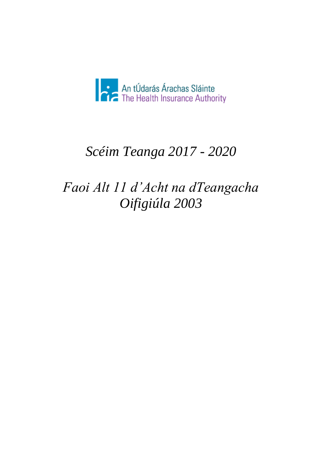

# *Scéim Teanga 2017 - 2020*

# *Faoi Alt 11 d'Acht na dTeangacha Oifigiúla 2003*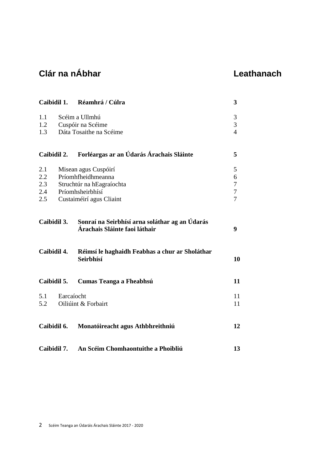## **Clár na nÁbhar Leathanach**

|             |                          | Caibidil 1. Réamhrá / Cúlra                                                     |                  |  |
|-------------|--------------------------|---------------------------------------------------------------------------------|------------------|--|
| 1.1         |                          | Scéim a Ullmhú                                                                  | $\mathfrak{Z}$   |  |
| 1.2         |                          | Cuspóir na Scéime                                                               | 3                |  |
| 1.3         |                          | Dáta Tosaithe na Scéime                                                         | $\overline{4}$   |  |
|             | Caibidil 2.              | Forléargas ar an Údarás Árachais Sláinte                                        | 5                |  |
| 2.1         |                          | Misean agus Cuspóirí                                                            | 5                |  |
| 2.2         | Príomhfheidhmeanna       |                                                                                 |                  |  |
| 2.3         |                          | Struchtúr na hEagraíochta                                                       | $\boldsymbol{7}$ |  |
| 2.4         |                          | Príomhsheirbhísí                                                                | $\overline{7}$   |  |
| 2.5         | Custaiméirí agus Cliaint |                                                                                 |                  |  |
|             | Caibidil 3.              | Sonraí na Seirbhísí arna soláthar ag an Údarás<br>Árachais Sláinte faoi láthair | 9                |  |
|             | Caibidil 4.              | Réimsí le haghaidh Feabhas a chur ar Sholáthar<br>Seirbhísí                     | 10               |  |
| Caibidil 5. |                          | Cumas Teanga a Fheabhsú                                                         |                  |  |
| 5.1         | Earcaíocht               |                                                                                 | 11               |  |
| 5.2         |                          | Oiliúint & Forbairt                                                             | 11               |  |
| Caibidil 6. |                          | Monatóireacht agus Athbhreithniú                                                | 12               |  |
|             | Caibidil 7.              | An Scéim Chomhaontuithe a Phoibliú                                              | 13               |  |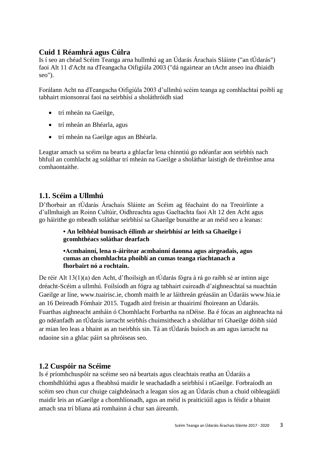#### **Cuid 1 Réamhrá agus Cúlra**

Is í seo an chéad Scéim Teanga arna hullmhú ag an Údarás Árachais Sláinte ("an tÚdarás") faoi Alt 11 d'Acht na dTeangacha Oifigiúla 2003 ("dá ngairtear an tAcht anseo ina dhiaidh seo").

Forálann Acht na dTeangacha Oifigiúla 2003 d'ullmhú scéim teanga ag comhlachtaí poiblí ag tabhairt mionsonraí faoi na seirbhísí a sholáthróidh siad

- trí mheán na Gaeilge,
- trí mheán an Bhéarla, agus
- trí mheán na Gaeilge agus an Bhéarla.

Leagtar amach sa scéim na bearta a ghlacfar lena chinntiú go ndéanfar aon seirbhís nach bhfuil an comhlacht ag soláthar trí mheán na Gaeilge a sholáthar laistigh de thréimhse ama comhaontaithe.

#### **1.1. Scéim a Ullmhú**

D'fhorbair an tÚdarás Árachais Sláinte an Scéim ag féachaint do na Treoirlínte a d'ullmhaigh an Roinn Cultúir, Oidhreachta agus Gaeltachta faoi Alt 12 den Acht agus go háirithe go mbeadh soláthar seirbhísí sa Ghaeilge bunaithe ar an méid seo a leanas:

> **• An leibhéal bunúsach éilimh ar sheirbhísí ar leith sa Ghaeilge i gcomhthéacs soláthar dearfach**

**•Acmhainní, lena n-áirítear acmhainní daonna agus airgeadais, agus cumas an chomhlachta phoiblí an cumas teanga riachtanach a fhorbairt nó a rochtain.**

De réir Alt 13(1)(a) den Acht, d'fhoilsigh an tÚdarás fógra á rá go raibh sé ar intinn aige dréacht-Scéim a ullmhú. Foilsíodh an fógra ag tabhairt cuireadh d'aighneachtaí sa nuachtán Gaeilge ar líne, www.tuairisc.ie, chomh maith le ar láithreán gréasáin an Údaráis www.hia.ie an 16 Deireadh Fómhair 2015. Tugadh aird freisin ar thuairimí fhoireann an Údaráis. Fuarthas aighneacht amháin ó Chomhlacht Forbartha na nDéise. Ba é fócas an aighneachta ná go ndéanfadh an tÚdarás iarracht seirbhís chuimsitheach a sholáthar trí Ghaeilge dóibh siúd ar mian leo leas a bhaint as an tseirbhís sin. Tá an tÚdarás buíoch as am agus iarracht na ndaoine sin a ghlac páirt sa phróiseas seo.

#### **1.2 Cuspóir na Scéime**

Is é príomhchuspóir na scéime seo ná beartais agus cleachtais reatha an Údaráis a chomhdhlúthú agus a fheabhsú maidir le seachadadh a seirbhísí i nGaeilge. Forbraíodh an scéim seo chun cur chuige caighdeánach a leagan síos ag an Údarás chun a chuid oibleagáidí maidir leis an nGaeilge a chomhlíonadh, agus an méid is praiticiúil agus is féidir a bhaint amach sna trí bliana atá romhainn á chur san áireamh.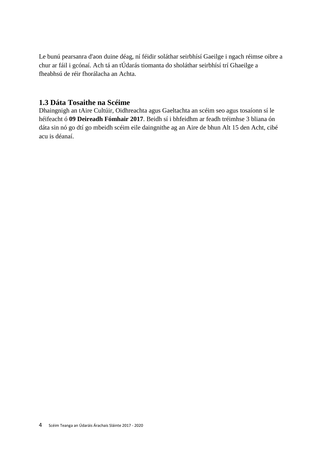Le bunú pearsanra d'aon duine déag, ní féidir soláthar seirbhísí Gaeilge i ngach réimse oibre a chur ar fáil i gcónaí. Ach tá an tÚdarás tiomanta do sholáthar seirbhísí trí Ghaeilge a fheabhsú de réir fhorálacha an Achta.

#### **1.3 Dáta Tosaithe na Scéime**

Dhaingnigh an tAire Cultúir, Oidhreachta agus Gaeltachta an scéim seo agus tosaíonn sí le héifeacht ó **09 Deireadh Fómhair 2017**. Beidh sí i bhfeidhm ar feadh tréimhse 3 bliana ón dáta sin nó go dtí go mbeidh scéim eile daingnithe ag an Aire de bhun Alt 15 den Acht, cibé acu is déanaí.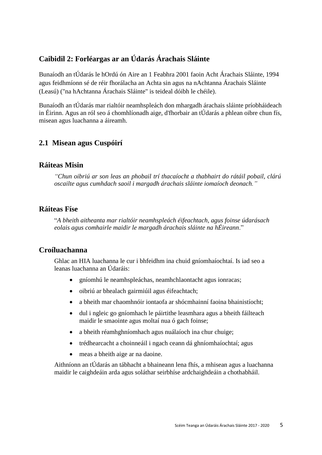#### **Caibidil 2: Forléargas ar an Údarás Árachais Sláinte**

Bunaíodh an tÚdarás le hOrdú ón Aire an 1 Feabhra 2001 faoin Acht Árachais Sláinte, 1994 agus feidhmíonn sé de réir fhorálacha an Achta sin agus na nAchtanna Árachais Sláinte (Leasú) ("na hAchtanna Árachais Sláinte" is teideal dóibh le chéile).

Bunaíodh an tÚdarás mar rialtóir neamhspleách don mhargadh árachais sláinte príobháideach in Éirinn. Agus an ról seo á chomhlíonadh aige, d'fhorbair an tÚdarás a phlean oibre chun fís, misean agus luachanna a áireamh.

#### **2.1 Misean agus Cuspóirí**

#### **Ráiteas Misin**

*"Chun oibriú ar son leas an phobail trí thacaíocht a thabhairt do rátáil pobail, clárú oscailte agus cumhdach saoil i margadh árachais sláinte iomaíoch deonach."*

#### **Ráiteas Físe**

"*A bheith aitheanta mar rialtóir neamhspleách éifeachtach, agus foinse údarásach eolais agus comhairle maidir le margadh árachais sláinte na hÉireann*."

#### **Croíluachanna**

Ghlac an HIA luachanna le cur i bhfeidhm ina chuid gníomhaíochtaí. Is iad seo a leanas luachanna an Údaráis:

- gníomhú le neamhspleáchas, neamhchlaontacht agus ionracas;
- oibriú ar bhealach gairmiúil agus éifeachtach;
- a bheith mar chaomhnóir iontaofa ar shócmhainní faoina bhainistíocht;
- dul i ngleic go gníomhach le páirtithe leasmhara agus a bheith fáilteach maidir le smaointe agus moltaí nua ó gach foinse;
- a bheith réamhghníomhach agus nuálaíoch ina chur chuige:
- trédhearcacht a choinneáil i ngach ceann dá ghníomhaíochtaí; agus
- meas a bheith aige ar na daoine.

Aithníonn an tÚdarás an tábhacht a bhaineann lena fhís, a mhisean agus a luachanna maidir le caighdeáin arda agus soláthar seirbhíse ardchaighdeáin a chothabháil.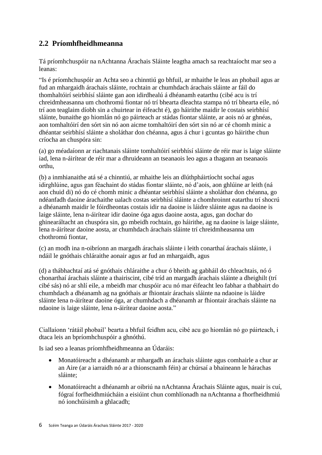#### **2.2 Príomhfheidhmeanna**

Tá príomhchuspóir na nAchtanna Árachais Sláinte leagtha amach sa reachtaíocht mar seo a leanas:

"Is é príomhchuspóir an Achta seo a chinntiú go bhfuil, ar mhaithe le leas an phobail agus ar fud an mhargaidh árachais sláinte, rochtain ar chumhdach árachais sláinte ar fáil do thomhaltóirí seirbhísí sláinte gan aon idirdhealú á dhéanamh eatarthu (cibé acu is trí chreidmheasanna um chothromú fiontar nó trí bhearta dleachta stampa nó trí bhearta eile, nó trí aon teaglaim díobh sin a chuirtear in éifeacht é), go háirithe maidir le costais seirbhísí sláinte, bunaithe go hiomlán nó go páirteach ar stádas fiontar sláinte, ar aois nó ar ghnéas, aon tomhaltóirí den sórt sin nó aon aicme tomhaltóirí den sórt sin nó ar cé chomh minic a dhéantar seirbhísí sláinte a sholáthar don chéanna, agus á chur i gcuntas go háirithe chun críocha an chuspóra sin:

(a) go méadaíonn ar riachtanais sláinte tomhaltóirí seirbhísí sláinte de réir mar is laige sláinte iad, lena n-áirítear de réir mar a dhruideann an tseanaois leo agus a thagann an tseanaois orthu,

(b) a inmhianaithe atá sé a chinntiú, ar mhaithe leis an dlúthpháirtíocht sochaí agus idirghlúine, agus gan féachaint do stádas fiontar sláinte, nó d'aois, aon ghlúine ar leith (ná aon chuid di) nó do cé chomh minic a dhéantar seirbhísí sláinte a sholáthar don chéanna, go ndéanfadh daoine árachaithe ualach costas seirbhísí sláinte a chomhroinnt eatarthu trí shocrú a dhéanamh maidir le fóirdheontas costais idir na daoine is láidre sláinte agus na daoine is laige sláinte, lena n-áirítear idir daoine óga agus daoine aosta, agus, gan dochar do ghinearáltacht an chuspóra sin, go mbeidh rochtain, go háirithe, ag na daoine is laige sláinte, lena n-áirítear daoine aosta, ar chumhdach árachais sláinte trí chreidmheasanna um chothromú fiontar,

(c) an modh ina n-oibríonn an margadh árachais sláinte i leith conarthaí árachais sláinte, i ndáil le gnóthais chláraithe aonair agus ar fud an mhargaidh, agus

(d) a thábhachtaí atá sé gnóthais chláraithe a chur ó bheith ag gabháil do chleachtais, nó ó chonarthaí árachais sláinte a thairiscint, cibé tríd an margadh árachais sláinte a dheighilt (trí cibé sás) nó ar shlí eile, a mbeidh mar chuspóir acu nó mar éifeacht leo fabhar a thabhairt do chumhdach a dhéanamh ag na gnóthais ar fhiontair árachais sláinte na ndaoine is láidre sláinte lena n-áirítear daoine óga, ar chumhdach a dhéanamh ar fhiontair árachais sláinte na ndaoine is laige sláinte, lena n-áirítear daoine aosta."

Ciallaíonn 'rátáil phobail' bearta a bhfuil feidhm acu, cibé acu go hiomlán nó go páirteach, i dtaca leis an bpríomhchuspóir a ghnóthú.

Is iad seo a leanas príomhfheidhmeanna an Údaráis:

- Monatóireacht a dhéanamh ar mhargadh an árachais sláinte agus comhairle a chur ar an Aire (ar a iarraidh nó ar a thionscnamh féin) ar chúrsaí a bhaineann le hárachas sláinte;
- Monatóireacht a dhéanamh ar oibriú na nAchtanna Árachais Sláinte agus, nuair is cuí, fógraí forfheidhmiúcháin a eisiúint chun comhlíonadh na nAchtanna a fhorfheidhmiú nó ionchúisimh a ghlacadh;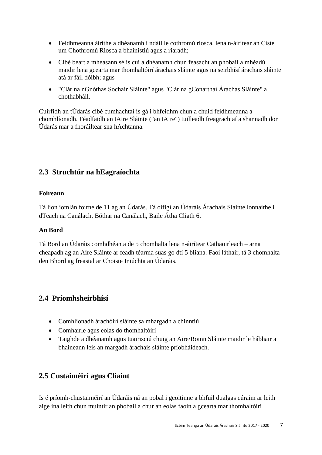- Feidhmeanna áirithe a dhéanamh i ndáil le cothromú riosca, lena n-áirítear an Ciste um Chothromú Riosca a bhainistiú agus a riaradh;
- Cibé beart a mheasann sé is cuí a dhéanamh chun feasacht an phobail a mhéadú maidir lena gcearta mar thomhaltóirí árachais sláinte agus na seirbhísí árachais sláinte atá ar fáil dóibh; agus
- "Clár na nGnóthas Sochair Sláinte" agus "Clár na gConarthaí Árachas Sláinte" a chothabháil.

Cuirfidh an tÚdarás cibé cumhachtaí is gá i bhfeidhm chun a chuid feidhmeanna a chomhlíonadh. Féadfaidh an tAire Sláinte ("an tAire") tuilleadh freagrachtaí a shannadh don Údarás mar a fhoráiltear sna hAchtanna.

#### **2.3 Struchtúr na hEagraíochta**

#### **Foireann**

Tá líon iomlán foirne de 11 ag an Údarás. Tá oifigí an Údaráis Árachais Sláinte lonnaithe i dTeach na Canálach, Bóthar na Canálach, Baile Átha Cliath 6.

#### **An Bord**

Tá Bord an Údaráis comhdhéanta de 5 chomhalta lena n-áirítear Cathaoirleach – arna cheapadh ag an Aire Sláinte ar feadh téarma suas go dtí 5 bliana. Faoi láthair, tá 3 chomhalta den Bhord ag freastal ar Choiste Iniúchta an Údaráis.

#### **2.4 Príomhsheirbhísí**

- Comhlíonadh árachóirí sláinte sa mhargadh a chinntiú
- Comhairle agus eolas do thomhaltóirí
- Taighde a dhéanamh agus tuairisciú chuig an Aire/Roinn Sláinte maidir le hábhair a bhaineann leis an margadh árachais sláinte príobháideach.

#### **2.5 Custaiméirí agus Cliaint**

Is é príomh-chustaiméirí an Údaráis ná an pobal i gcoitinne a bhfuil dualgas cúraim ar leith aige ina leith chun muintir an phobail a chur an eolas faoin a gcearta mar thomhaltóirí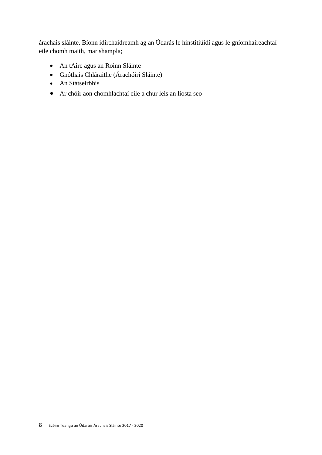árachais sláinte. Bíonn idirchaidreamh ag an Údarás le hinstitiúidí agus le gníomhaireachtaí eile chomh maith, mar shampla;

- An tAire agus an Roinn Sláinte
- Gnóthais Chláraithe (Árachóirí Sláinte)
- An Státseirbhís
- Ar chóir aon chomhlachtaí eile a chur leis an liosta seo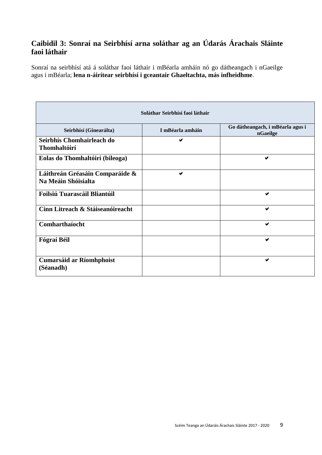#### **Caibidil 3: Sonraí na Seirbhísí arna soláthar ag an Údarás Árachais Sláinte faoi láthair**

Sonraí na seirbhísí atá á soláthar faoi láthair i mBéarla amháin nó go dátheangach i nGaeilge agus i mBéarla; **lena n-áirítear seirbhísí i gceantair Ghaeltachta, más infheidhme**.

| Seirbhísí (Ginearálta)                                 | I mBéarla amháin | Go dátheangach, i mBéarla agus i<br>nGaeilge |
|--------------------------------------------------------|------------------|----------------------------------------------|
| Seirbhís Chomhairleach do<br>Thomhaltóirí              | ✔                |                                              |
| Eolas do Thomhaltóirí (bileoga)                        |                  | ✔                                            |
| Láithreán Gréasáin Comparáide &<br>Na Meáin Shóisialta | ✔                |                                              |
| Foilsiú Tuarascáil Bliantúil                           |                  | ✔                                            |
| Cinn Litreach & Stáiseanóireacht                       |                  | $\blacktriangledown$                         |
| Comharthaíocht                                         |                  | $\blacktriangledown$                         |
| Fógraí Béil                                            |                  | $\blacktriangleright$                        |
| <b>Cumarsáid ar Ríomhphoist</b><br>(Séanadh)           |                  | $\blacktriangledown$                         |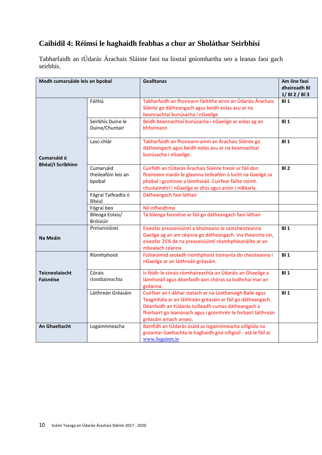### **Caibidil 4: Réimsí le haghaidh feabhas a chur ar Sholáthar Seirbhísí**

Tabharfaidh an tÚdarás Árachais Sláinte faoi na liostaí gníomhartha seo a leanas faoi gach seirbhís.

| Modh cumarsáide leis an bpobal            |                                            | <b>Gealltanas</b>                                                                                                                                                                                                                                                      | Am líne faoi<br>dheireadh Bl<br>1/ BI 2 / BI 3 |
|-------------------------------------------|--------------------------------------------|------------------------------------------------------------------------------------------------------------------------------------------------------------------------------------------------------------------------------------------------------------------------|------------------------------------------------|
|                                           | Fáiltiú                                    | Tabharfaidh an fhoireann fáiltithe ainm an Údaráis Árachais<br>Sláinte go dátheangach agus beidh eolas acu ar na<br>beannachtaí bunúsacha i nGaeilge                                                                                                                   | BI <sub>1</sub>                                |
|                                           | Seirbhís Duine le<br>Duine/Chuntair        | Beidh beannachtaí bunúsacha i nGaeilge ar eolas ag an<br>bhfoireann                                                                                                                                                                                                    | BI <sub>1</sub>                                |
| Cumarsáid ó                               | Lasc-chlár                                 | Tabharfaidh an fhoireann ainm an Árachais Sláinte go<br>dátheangach agus beidh eolas acu ar na beannachtaí<br>bunúsacha i nGaeilge.                                                                                                                                    | BI <sub>1</sub>                                |
| <b>Bhéal/I Scríbhinn</b>                  | Cumarsáid<br>theileafóin leis an<br>bpobal | Cuirfidh an tÚdarás Árachais Sláinte treoir ar fáil don<br>fhoireann maidir le glaonna teileafóin ó lucht na Gaeilge sa<br>phobal i gcoitinne a láimhseáil. Cuirfear fáilte roimh<br>chustaiméirí i nGaeilge ar dtús agus ansin i mBéarla.                             | BI <sub>2</sub>                                |
|                                           | Fógraí Taifeadta ó<br>Bhéal                | Dátheangach faoi láthair                                                                                                                                                                                                                                               |                                                |
|                                           | Fógraí beo                                 | Níl infheidhme                                                                                                                                                                                                                                                         |                                                |
|                                           | Bileoga Eolais/<br>Bróisiúir               | Tá bileoga faisnéise ar fáil go dátheangach faoi láthair                                                                                                                                                                                                               |                                                |
| <b>Na Meáin</b>                           | Preiseisiúintí                             | Eiseofar preaseisiúintí a bhaineann le saincheisteanna<br>Gaeilge ag an am céanna go dátheangach. Ina theannta sin,<br>eiseofar 25% de na preaseisiúintí réamhphleanáilte ar an<br>mbealach céanna                                                                     | BI <sub>1</sub>                                |
|                                           | Ríomhphoist                                | Foilseoimid seoladh ríomhphoist tiomanta do cheisteanna i<br>nGaeilge ar an láithreán gréasáin.                                                                                                                                                                        | BI <sub>1</sub>                                |
| <b>Teicneolaíocht</b><br><b>Faisnéise</b> | Córais<br>ríomhaireachta                   | Is féidir le córais ríomhaireachta an Údaráis an Ghaeilge a<br>láimhseáil agus déanfaidh aon chóras sa todhchaí mar an<br>gcéanna.                                                                                                                                     | BI <sub>1</sub>                                |
|                                           | Láithreán Gréasáin                         | Cuirfear an t-ábhar statach ar na Leathanaigh Baile agus<br>Teagmhála ar an láithreán gréasáin ar fáil go dátheangach.<br>Déanfaidh an tÚdarás tuilleadh cumas dátheangach a<br>fhorbairt go leanúnach agus i gcomhréir le forbairt láithreán<br>gréasáin amach anseo. | BI <sub>1</sub>                                |
| <b>An Ghaeltacht</b>                      | Logainmneacha                              | Bainfidh an tÚdarás úsáid as logainmneacha oifigiúla na<br>gceantar Gaeltachta le haghaidh gnó oifigiúil - atá le fáil ar<br>www.logainm.ie                                                                                                                            |                                                |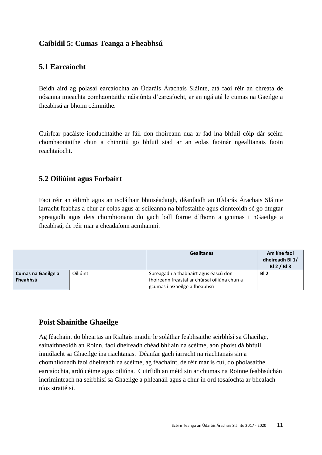#### **Caibidil 5: Cumas Teanga a Fheabhsú**

#### **5.1 Earcaíocht**

Beidh aird ag polasaí earcaíochta an Údaráis Árachais Sláinte, atá faoi réir an chreata de nósanna imeachta comhaontaithe náisiúnta d'earcaíocht, ar an ngá atá le cumas na Gaeilge a fheabhsú ar bhonn céimnithe.

Cuirfear pacáiste ionduchtaithe ar fáil don fhoireann nua ar fad ina bhfuil cóip dár scéim chomhaontaithe chun a chinntiú go bhfuil siad ar an eolas faoinár ngealltanais faoin reachtaíocht.

#### **5.2 Oiliúint agus Forbairt**

Faoi réir an éilimh agus an tsoláthair bhuiséadaigh, déanfaidh an tÚdarás Árachais Sláinte iarracht feabhas a chur ar eolas agus ar scileanna na bhfostaithe agus cinnteoidh sé go dtugtar spreagadh agus deis chomhionann do gach ball foirne d'fhonn a gcumas i nGaeilge a fheabhsú, de réir mar a cheadaíonn acmhainní.

|                                       |          | <b>Gealltanas</b>                                                                    | Am líne faoi<br>dheireadh Bl 1/<br>BI 2 / BI 3 |
|---------------------------------------|----------|--------------------------------------------------------------------------------------|------------------------------------------------|
| <b>Cumas na Gaeilge a</b><br>Fheabhsú | Oiliúint | Spreagadh a thabhairt agus éascú don<br>fhoireann freastal ar chúrsaí oiliúna chun a | BI <sub>2</sub>                                |
|                                       |          | gcumas i nGaeilge a fheabhsú                                                         |                                                |

#### **Poist Shainithe Ghaeilge**

Ag féachaint do bheartas an Rialtais maidir le soláthar feabhsaithe seirbhísí sa Ghaeilge, sainaithneoidh an Roinn, faoi dheireadh chéad bhliain na scéime, aon phoist dá bhfuil inniúlacht sa Ghaeilge ina riachtanas. Déanfar gach iarracht na riachtanais sin a chomhlíonadh faoi dheireadh na scéime, ag féachaint, de réir mar is cuí, do pholasaithe earcaíochta, ardú céime agus oiliúna. Cuirfidh an méid sin ar chumas na Roinne feabhsúchán incriminteach na seirbhísí sa Ghaeilge a phleanáil agus a chur in ord tosaíochta ar bhealach níos straitéisí.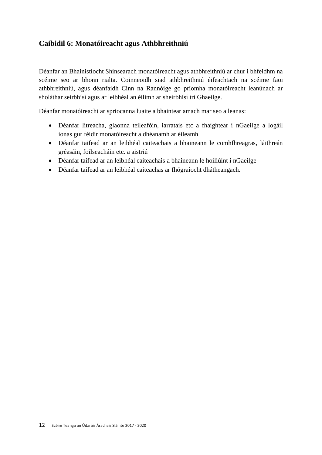#### **Caibidil 6: Monatóireacht agus Athbhreithniú**

Déanfar an Bhainistíocht Shinsearach monatóireacht agus athbhreithniú ar chur i bhfeidhm na scéime seo ar bhonn rialta. Coinneoidh siad athbhreithniú éifeachtach na scéime faoi athbhreithniú, agus déanfaidh Cinn na Rannóige go príomha monatóireacht leanúnach ar sholáthar seirbhísí agus ar leibhéal an éilimh ar sheirbhísí trí Ghaeilge.

Déanfar monatóireacht ar spriocanna luaite a bhaintear amach mar seo a leanas:

- Déanfar litreacha, glaonna teileafóin, iarratais etc a fhaightear i nGaeilge a logáil ionas gur féidir monatóireacht a dhéanamh ar éileamh
- Déanfar taifead ar an leibhéal caiteachais a bhaineann le comhfhreagras, láithreán gréasáin, foilseacháin etc. a aistriú
- Déanfar taifead ar an leibhéal caiteachais a bhaineann le hoiliúint i nGaeilge
- Déanfar taifead ar an leibhéal caiteachas ar fhógraíocht dhátheangach.